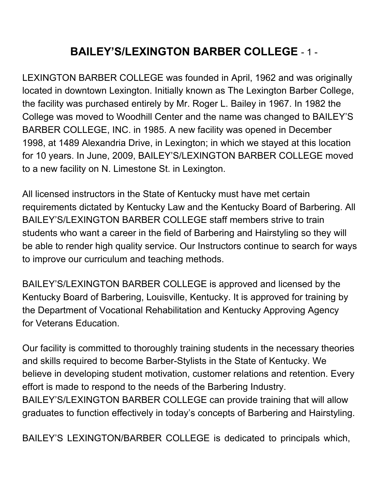### **BAILEY'S/LEXINGTON BARBER COLLEGE** - 1 -

LEXINGTON BARBER COLLEGE was founded in April, 1962 and was originally located in downtown Lexington. Initially known as The Lexington Barber College, the facility was purchased entirely by Mr. Roger L. Bailey in 1967. In 1982 the College was moved to Woodhill Center and the name was changed to BAILEY'S BARBER COLLEGE, INC. in 1985. A new facility was opened in December 1998, at 1489 Alexandria Drive, in Lexington; in which we stayed at this location for 10 years. In June, 2009, BAILEY'S/LEXINGTON BARBER COLLEGE moved to a new facility on N. Limestone St. in Lexington.

All licensed instructors in the State of Kentucky must have met certain requirements dictated by Kentucky Law and the Kentucky Board of Barbering. All BAILEY'S/LEXINGTON BARBER COLLEGE staff members strive to train students who want a career in the field of Barbering and Hairstyling so they will be able to render high quality service. Our Instructors continue to search for ways to improve our curriculum and teaching methods.

BAILEY'S/LEXINGTON BARBER COLLEGE is approved and licensed by the Kentucky Board of Barbering, Louisville, Kentucky. It is approved for training by the Department of Vocational Rehabilitation and Kentucky Approving Agency for Veterans Education.

Our facility is committed to thoroughly training students in the necessary theories and skills required to become Barber-Stylists in the State of Kentucky. We believe in developing student motivation, customer relations and retention. Every effort is made to respond to the needs of the Barbering Industry. BAILEY'S/LEXINGTON BARBER COLLEGE can provide training that will allow graduates to function effectively in today's concepts of Barbering and Hairstyling.

BAILEY'S LEXINGTON/BARBER COLLEGE is dedicated to principals which,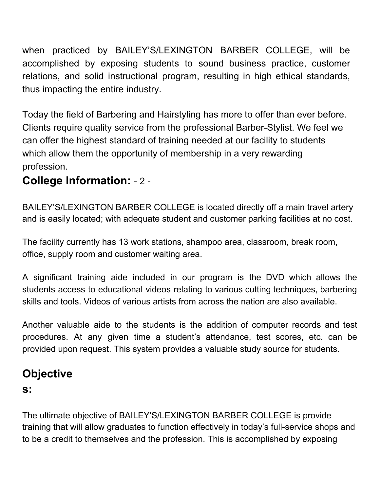when practiced by BAILEY'S/LEXINGTON BARBER COLLEGE, will be accomplished by exposing students to sound business practice, customer relations, and solid instructional program, resulting in high ethical standards, thus impacting the entire industry.

Today the field of Barbering and Hairstyling has more to offer than ever before. Clients require quality service from the professional Barber-Stylist. We feel we can offer the highest standard of training needed at our facility to students which allow them the opportunity of membership in a very rewarding profession.

#### **College Information:** - 2 -

BAILEY'S/LEXINGTON BARBER COLLEGE is located directly off a main travel artery and is easily located; with adequate student and customer parking facilities at no cost.

The facility currently has 13 work stations, shampoo area, classroom, break room, office, supply room and customer waiting area.

A significant training aide included in our program is the DVD which allows the students access to educational videos relating to various cutting techniques, barbering skills and tools. Videos of various artists from across the nation are also available.

Another valuable aide to the students is the addition of computer records and test procedures. At any given time a student's attendance, test scores, etc. can be provided upon request. This system provides a valuable study source for students.

### **Objective**

#### **s:**

The ultimate objective of BAILEY'S/LEXINGTON BARBER COLLEGE is provide training that will allow graduates to function effectively in today's full-service shops and to be a credit to themselves and the profession. This is accomplished by exposing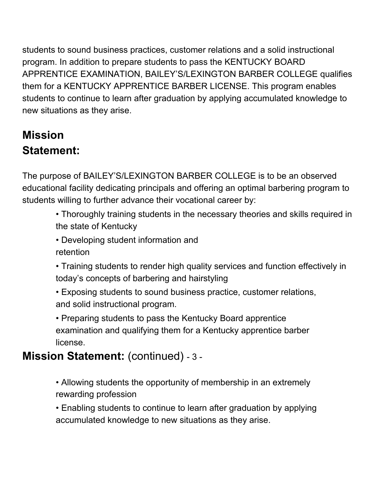students to sound business practices, customer relations and a solid instructional program. In addition to prepare students to pass the KENTUCKY BOARD APPRENTICE EXAMINATION, BAILEY'S/LEXINGTON BARBER COLLEGE qualifies them for a KENTUCKY APPRENTICE BARBER LICENSE. This program enables students to continue to learn after graduation by applying accumulated knowledge to new situations as they arise.

### **Mission Statement:**

The purpose of BAILEY'S/LEXINGTON BARBER COLLEGE is to be an observed educational facility dedicating principals and offering an optimal barbering program to students willing to further advance their vocational career by:

- Thoroughly training students in the necessary theories and skills required in the state of Kentucky
- Developing student information and retention
- Training students to render high quality services and function effectively in today's concepts of barbering and hairstyling
- Exposing students to sound business practice, customer relations, and solid instructional program.
- Preparing students to pass the Kentucky Board apprentice examination and qualifying them for a Kentucky apprentice barber license.

### **Mission Statement:** (continued) - 3 -

• Allowing students the opportunity of membership in an extremely rewarding profession

• Enabling students to continue to learn after graduation by applying accumulated knowledge to new situations as they arise.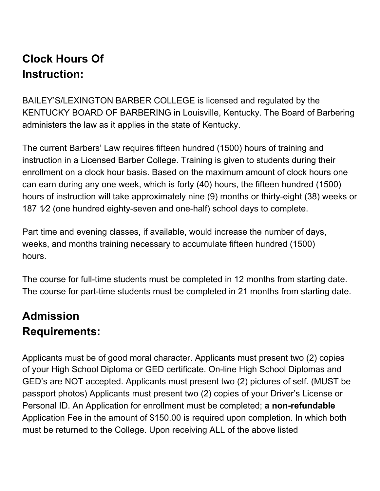### **Clock Hours Of Instruction:**

BAILEY'S/LEXINGTON BARBER COLLEGE is licensed and regulated by the KENTUCKY BOARD OF BARBERING in Louisville, Kentucky. The Board of Barbering administers the law as it applies in the state of Kentucky.

The current Barbers' Law requires fifteen hundred (1500) hours of training and instruction in a Licensed Barber College. Training is given to students during their enrollment on a clock hour basis. Based on the maximum amount of clock hours one can earn during any one week, which is forty (40) hours, the fifteen hundred (1500) hours of instruction will take approximately nine (9) months or thirty-eight (38) weeks or 187 1⁄2 (one hundred eighty-seven and one-half) school days to complete.

Part time and evening classes, if available, would increase the number of days, weeks, and months training necessary to accumulate fifteen hundred (1500) hours.

The course for full-time students must be completed in 12 months from starting date. The course for part-time students must be completed in 21 months from starting date.

### **Admission Requirements:**

Applicants must be of good moral character. Applicants must present two (2) copies of your High School Diploma or GED certificate. On-line High School Diplomas and GED's are NOT accepted. Applicants must present two (2) pictures of self. (MUST be passport photos) Applicants must present two (2) copies of your Driver's License or Personal ID. An Application for enrollment must be completed; **a non-refundable** Application Fee in the amount of \$150.00 is required upon completion. In which both must be returned to the College. Upon receiving ALL of the above listed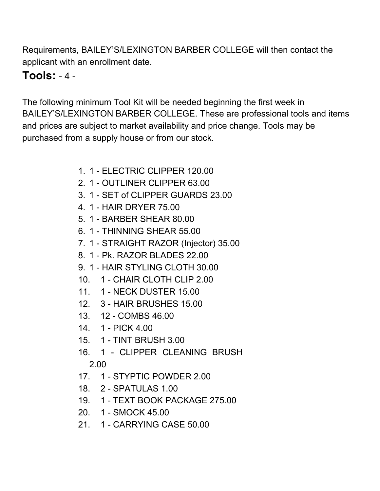Requirements, BAILEY'S/LEXINGTON BARBER COLLEGE will then contact the applicant with an enrollment date.

#### **Tools:** - 4 -

The following minimum Tool Kit will be needed beginning the first week in BAILEY'S/LEXINGTON BARBER COLLEGE. These are professional tools and items and prices are subject to market availability and price change. Tools may be purchased from a supply house or from our stock.

- 1. 1 ELECTRIC CLIPPER 120.00
- 2. 1 OUTLINER CLIPPER 63.00
- 3. 1 SET of CLIPPER GUARDS 23.00
- 4. 1 HAIR DRYER 75.00
- 5. 1 BARBER SHEAR 80.00
- 6. 1 THINNING SHEAR 55.00
- 7. 1 STRAIGHT RAZOR (Injector) 35.00
- 8. 1 Pk. RAZOR BLADES 22.00
- 9. 1 HAIR STYLING CLOTH 30.00
- 10. 1 CHAIR CLOTH CLIP 2.00
- 11. 1 NECK DUSTER 15.00
- 12. 3 HAIR BRUSHES 15.00
- 13. 12 COMBS 46.00
- 14. 1 PICK 4.00
- 15. 1 TINT BRUSH 3.00
- 16. 1 CLIPPER CLEANING BRUSH 2.00
- 17. 1 STYPTIC POWDER 2.00
- 18. 2 SPATULAS 1.00
- 19. 1 TEXT BOOK PACKAGE 275.00
- 20. 1 SMOCK 45.00
- 21. 1 CARRYING CASE 50.00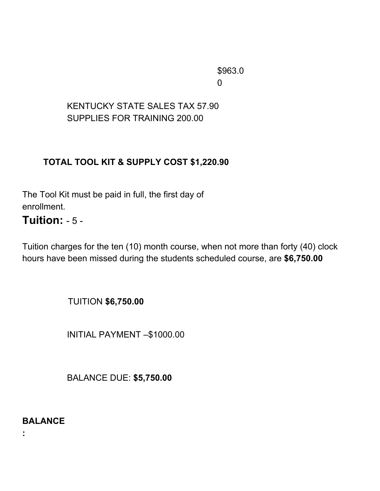\$963.0 0

#### KENTUCKY STATE SALES TAX 57.90 SUPPLIES FOR TRAINING 200.00

#### **TOTAL TOOL KIT & SUPPLY COST \$1,220.90**

The Tool Kit must be paid in full, the first day of enrollment.

#### **Tuition:** - 5 -

Tuition charges for the ten (10) month course, when not more than forty (40) clock hours have been missed during the students scheduled course, are **\$6,750.00**

TUITION **\$6,750.00**

INITIAL PAYMENT –\$1000.00

BALANCE DUE: **\$5,750.00**

**BALANCE**

**:**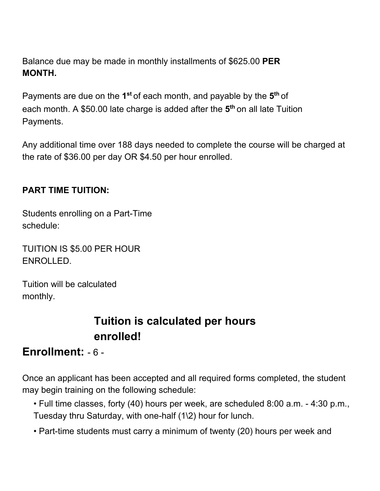Balance due may be made in monthly installments of \$625.00 **PER MONTH.**

Payments are due on the 1<sup>st</sup> of each month, and payable by the 5<sup>th</sup> of each month. A \$50.00 late charge is added after the **5 th** on all late Tuition Payments.

Any additional time over 188 days needed to complete the course will be charged at the rate of \$36.00 per day OR \$4.50 per hour enrolled.

#### **PART TIME TUITION:**

Students enrolling on a Part-Time schedule:

TUITION IS \$5.00 PER HOUR ENROLLED.

Tuition will be calculated monthly.

#### **Tuition is calculated per hours enrolled!**

#### **Enrollment:** - 6 -

Once an applicant has been accepted and all required forms completed, the student may begin training on the following schedule:

- Full time classes, forty (40) hours per week, are scheduled 8:00 a.m. 4:30 p.m., Tuesday thru Saturday, with one-half (1\2) hour for lunch.
- Part-time students must carry a minimum of twenty (20) hours per week and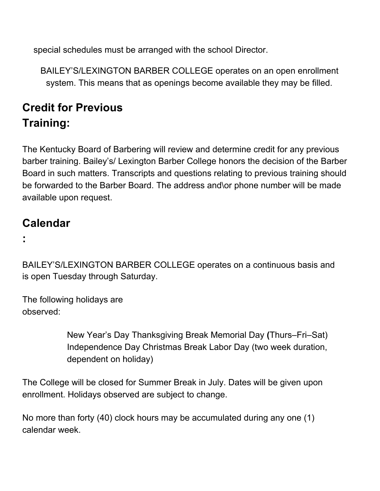special schedules must be arranged with the school Director.

BAILEY'S/LEXINGTON BARBER COLLEGE operates on an open enrollment system. This means that as openings become available they may be filled.

### **Credit for Previous Training:**

The Kentucky Board of Barbering will review and determine credit for any previous barber training. Bailey's/ Lexington Barber College honors the decision of the Barber Board in such matters. Transcripts and questions relating to previous training should be forwarded to the Barber Board. The address and\or phone number will be made available upon request.

### **Calendar**

**:**

BAILEY'S/LEXINGTON BARBER COLLEGE operates on a continuous basis and is open Tuesday through Saturday.

The following holidays are observed:

> New Year's Day Thanksgiving Break Memorial Day **(**Thurs–Fri–Sat) Independence Day Christmas Break Labor Day (two week duration, dependent on holiday)

The College will be closed for Summer Break in July. Dates will be given upon enrollment. Holidays observed are subject to change.

No more than forty (40) clock hours may be accumulated during any one (1) calendar week.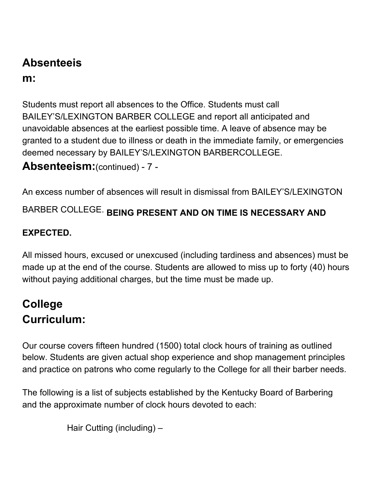## **Absenteeis**

#### **m:**

Students must report all absences to the Office. Students must call BAILEY'S/LEXINGTON BARBER COLLEGE and report all anticipated and unavoidable absences at the earliest possible time. A leave of absence may be granted to a student due to illness or death in the immediate family, or emergencies deemed necessary by BAILEY'S/LEXINGTON BARBERCOLLEGE.

#### **Absenteeism:**(continued) - 7 -

An excess number of absences will result in dismissal from BAILEY'S/LEXINGTON

BARBER COLLEGE. **BEING PRESENT AND ON TIME IS NECESSARY AND**

#### **EXPECTED.**

All missed hours, excused or unexcused (including tardiness and absences) must be made up at the end of the course. Students are allowed to miss up to forty (40) hours without paying additional charges, but the time must be made up.

### **College Curriculum:**

Our course covers fifteen hundred (1500) total clock hours of training as outlined below. Students are given actual shop experience and shop management principles and practice on patrons who come regularly to the College for all their barber needs.

The following is a list of subjects established by the Kentucky Board of Barbering and the approximate number of clock hours devoted to each:

Hair Cutting (including) –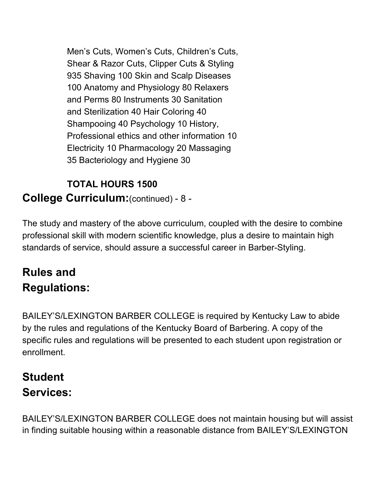Men's Cuts, Women's Cuts, Children's Cuts, Shear & Razor Cuts, Clipper Cuts & Styling 935 Shaving 100 Skin and Scalp Diseases 100 Anatomy and Physiology 80 Relaxers and Perms 80 Instruments 30 Sanitation and Sterilization 40 Hair Coloring 40 Shampooing 40 Psychology 10 History, Professional ethics and other information 10 Electricity 10 Pharmacology 20 Massaging 35 Bacteriology and Hygiene 30

#### **TOTAL HOURS 1500 College Curriculum:**(continued) - 8 -

The study and mastery of the above curriculum, coupled with the desire to combine professional skill with modern scientific knowledge, plus a desire to maintain high standards of service, should assure a successful career in Barber-Styling.

### **Rules and Regulations:**

BAILEY'S/LEXINGTON BARBER COLLEGE is required by Kentucky Law to abide by the rules and regulations of the Kentucky Board of Barbering. A copy of the specific rules and regulations will be presented to each student upon registration or enrollment.

### **Student Services:**

BAILEY'S/LEXINGTON BARBER COLLEGE does not maintain housing but will assist in finding suitable housing within a reasonable distance from BAILEY'S/LEXINGTON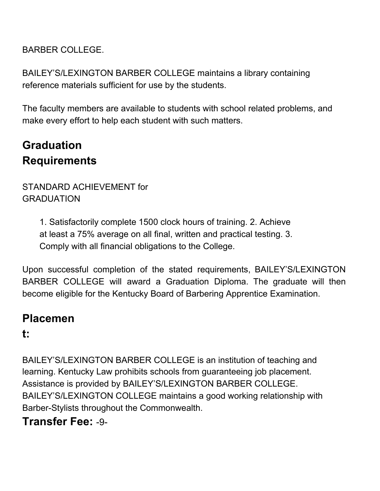BARBER COLLEGE.

BAILEY'S/LEXINGTON BARBER COLLEGE maintains a library containing reference materials sufficient for use by the students.

The faculty members are available to students with school related problems, and make every effort to help each student with such matters.

### **Graduation Requirements**

#### STANDARD ACHIEVEMENT for GRADUATION

1. Satisfactorily complete 1500 clock hours of training. 2. Achieve at least a 75% average on all final, written and practical testing. 3. Comply with all financial obligations to the College.

Upon successful completion of the stated requirements, BAILEY'S/LEXINGTON BARBER COLLEGE will award a Graduation Diploma. The graduate will then become eligible for the Kentucky Board of Barbering Apprentice Examination.

### **Placemen**

#### **t:**

BAILEY'S/LEXINGTON BARBER COLLEGE is an institution of teaching and learning. Kentucky Law prohibits schools from guaranteeing job placement. Assistance is provided by BAILEY'S/LEXINGTON BARBER COLLEGE. BAILEY'S/LEXINGTON COLLEGE maintains a good working relationship with Barber-Stylists throughout the Commonwealth.

### **Transfer Fee:** -9-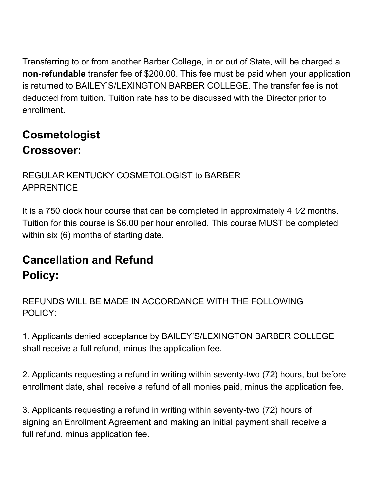Transferring to or from another Barber College, in or out of State, will be charged a **non-refundable** transfer fee of \$200.00. This fee must be paid when your application is returned to BAILEY'S/LEXINGTON BARBER COLLEGE. The transfer fee is not deducted from tuition. Tuition rate has to be discussed with the Director prior to enrollment**.**

### **Cosmetologist Crossover:**

#### REGULAR KENTUCKY COSMETOLOGIST to BARBER **APPRENTICE**

It is a 750 clock hour course that can be completed in approximately 4 1/2 months. Tuition for this course is \$6.00 per hour enrolled. This course MUST be completed within six (6) months of starting date.

### **Cancellation and Refund Policy:**

REFUNDS WILL BE MADE IN ACCORDANCE WITH THE FOLLOWING POLICY:

1. Applicants denied acceptance by BAILEY'S/LEXINGTON BARBER COLLEGE shall receive a full refund, minus the application fee.

2. Applicants requesting a refund in writing within seventy-two (72) hours, but before enrollment date, shall receive a refund of all monies paid, minus the application fee.

3. Applicants requesting a refund in writing within seventy-two (72) hours of signing an Enrollment Agreement and making an initial payment shall receive a full refund, minus application fee.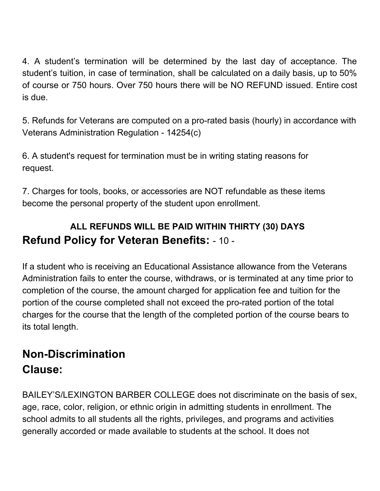4. A student's termination will be determined by the last day of acceptance. The student's tuition, in case of termination, shall be calculated on a daily basis, up to 50% of course or 750 hours. Over 750 hours there will be NO REFUND issued. Entire cost is due.

5. Refunds for Veterans are computed on a pro-rated basis (hourly) in accordance with Veterans Administration Regulation - 14254(c)

6. A student's request for termination must be in writing stating reasons for request.

7. Charges for tools, books, or accessories are NOT refundable as these items become the personal property of the student upon enrollment.

#### **ALL REFUNDS WILL BE PAID WITHIN THIRTY (30) DAYS Refund Policy for Veteran Benefits:** - 10 -

If a student who is receiving an Educational Assistance allowance from the Veterans Administration fails to enter the course, withdraws, or is terminated at any time prior to completion of the course, the amount charged for application fee and tuition for the portion of the course completed shall not exceed the pro-rated portion of the total charges for the course that the length of the completed portion of the course bears to its total length.

### **Non-Discrimination Clause:**

BAILEY'S/LEXINGTON BARBER COLLEGE does not discriminate on the basis of sex, age, race, color, religion, or ethnic origin in admitting students in enrollment. The school admits to all students all the rights, privileges, and programs and activities generally accorded or made available to students at the school. It does not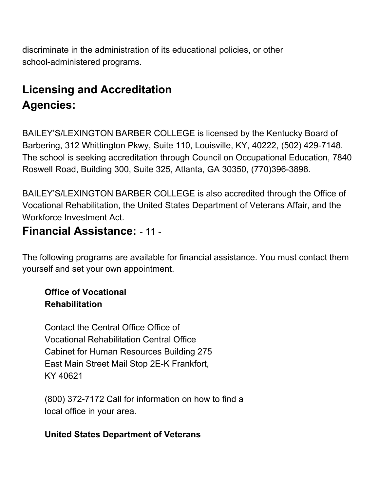discriminate in the administration of its educational policies, or other school-administered programs.

### **Licensing and Accreditation Agencies:**

BAILEY'S/LEXINGTON BARBER COLLEGE is licensed by the Kentucky Board of Barbering, 312 Whittington Pkwy, Suite 110, Louisville, KY, 40222, (502) 429-7148. The school is seeking accreditation through Council on Occupational Education, 7840 Roswell Road, Building 300, Suite 325, Atlanta, GA 30350, (770)396-3898.

BAILEY'S/LEXINGTON BARBER COLLEGE is also accredited through the Office of Vocational Rehabilitation, the United States Department of Veterans Affair, and the Workforce Investment Act.

#### **Financial Assistance:** - 11 -

The following programs are available for financial assistance. You must contact them yourself and set your own appointment.

#### **Office of Vocational Rehabilitation**

Contact the Central Office Office of Vocational Rehabilitation Central Office Cabinet for Human Resources Building 275 East Main Street Mail Stop 2E-K Frankfort, KY 40621

(800) 372-7172 Call for information on how to find a local office in your area.

#### **United States Department of Veterans**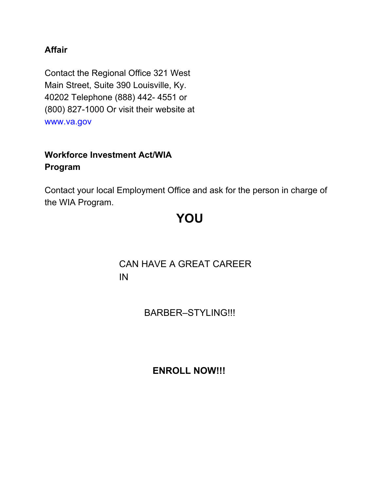#### **Affair**

Contact the Regional Office 321 West Main Street, Suite 390 Louisville, Ky. 40202 Telephone (888) 442- 4551 or (800) 827-1000 Or visit their website at www.va.gov

#### **Workforce Investment Act/WIA Program**

Contact your local Employment Office and ask for the person in charge of the WIA Program.

### **YOU**

#### CAN HAVE A GREAT CAREER IN

BARBER–STYLING!!!

**ENROLL NOW!!!**